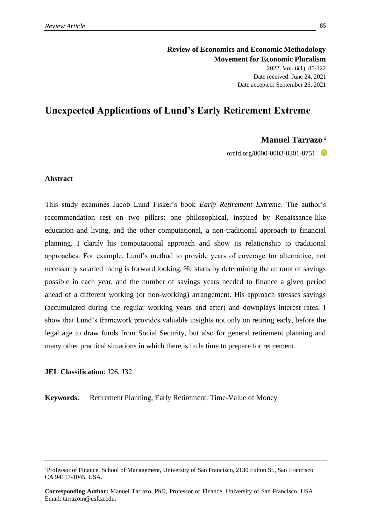**Review of Economics and Economic Methodology Movement for Economic Pluralism** 2022, Vol. 6(1), 85-122 Date received: June 24, 2021 Date accepted: September 26, 2021

# **Unexpected Applications of Lund's Early Retirement Extreme**

## **Manuel Tarrazo <sup>1</sup>**

orcid.org/0000-0003-0301-8751

#### **Abstract**

This study examines Jacob Lund Fisker's book *Early Retirement Extreme*. The author's recommendation rest on two pillars: one philosophical, inspired by Renaissance-like education and living, and the other computational, a non-traditional approach to financial planning. I clarify his computational approach and show its relationship to traditional approaches. For example, Lund's method to provide years of coverage for alternative, not necessarily salaried living is forward looking. He starts by determining the amount of savings possible in each year, and the number of savings years needed to finance a given period ahead of a different working (or non-working) arrangement. His approach stresses savings (accumulated during the regular working years and after) and downplays interest rates. I show that Lund's framework provides valuable insights not only on retiring early, before the legal age to draw funds from Social Security, but also for general retirement planning and many other practical situations in which there is little time to prepare for retirement.

## **JEL Classification**: J26, J32

**Keywords**: Retirement Planning, Early Retirement, Time-Value of Money

<sup>1</sup>Professor of Finance, School of Management, University of San Francisco, 2130 Fulton St., San Francisco, CA 94117-1045, USA.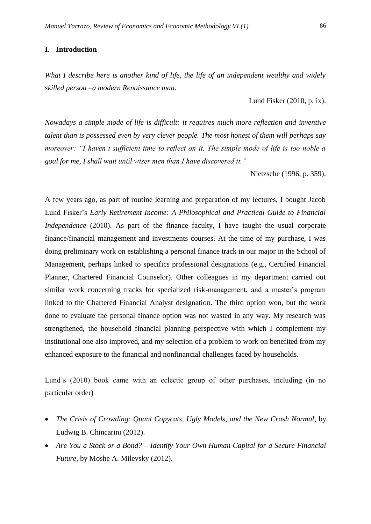#### **I. Introduction**

*What I describe here is another kind of life, the life of an independent wealthy and widely skilled person –a modern Renaissance man.*

Lund Fisker (2010, p. ix).

*Nowadays a simple mode of life is difficult: it requires much more reflection and inventive talent than is possessed even by very clever people. The most honest of them will perhaps say moreover: "I haven't sufficient time to reflect on it. The simple mode of life is too noble a goal for me, I shall wait until wiser men than I have discovered it."*

Nietzsche (1996, p. 359).

A few years ago, as part of routine learning and preparation of my lectures, I bought Jacob Lund Fisker's *Early Retirement Income: A Philosophical and Practical Guide to Financial Independence* (2010). As part of the finance faculty, I have taught the usual corporate finance/financial management and investments courses. At the time of my purchase, I was doing preliminary work on establishing a personal finance track in our major in the School of Management, perhaps linked to specifics professional designations (e.g., Certified Financial Planner, Chartered Financial Counselor). Other colleagues in my department carried out similar work concerning tracks for specialized risk-management, and a master's program linked to the Chartered Financial Analyst designation. The third option won, but the work done to evaluate the personal finance option was not wasted in any way. My research was strengthened, the household financial planning perspective with which I complement my institutional one also improved, and my selection of a problem to work on benefited from my enhanced exposure to the financial and nonfinancial challenges faced by households.

Lund's (2010) book came with an eclectic group of other purchases, including (in no particular order)

- *The Crisis of Crowding: Quant Copycats, Ugly Models, and the New Crash Normal*, by Ludwig B. Chincarini (2012).
- *Are You a Stock or a Bond? – Identify Your Own Human Capital for a Secure Financial Future*, by Moshe A. Milevsky (2012).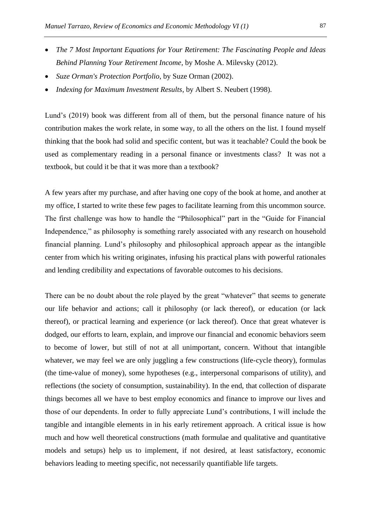- *The 7 Most Important Equations for Your Retirement: The Fascinating People and Ideas Behind Planning Your Retirement Income*, by Moshe A. Milevsky (2012).
- *Suze Orman's Protection Portfolio*, by Suze Orman (2002).
- *Indexing for Maximum Investment Results*, by Albert S. Neubert (1998).

Lund's (2019) book was different from all of them, but the personal finance nature of his contribution makes the work relate, in some way, to all the others on the list. I found myself thinking that the book had solid and specific content, but was it teachable? Could the book be used as complementary reading in a personal finance or investments class? It was not a textbook, but could it be that it was more than a textbook?

A few years after my purchase, and after having one copy of the book at home, and another at my office, I started to write these few pages to facilitate learning from this uncommon source. The first challenge was how to handle the "Philosophical" part in the "Guide for Financial Independence," as philosophy is something rarely associated with any research on household financial planning. Lund's philosophy and philosophical approach appear as the intangible center from which his writing originates, infusing his practical plans with powerful rationales and lending credibility and expectations of favorable outcomes to his decisions.

There can be no doubt about the role played by the great "whatever" that seems to generate our life behavior and actions; call it philosophy (or lack thereof), or education (or lack thereof), or practical learning and experience (or lack thereof). Once that great whatever is dodged, our efforts to learn, explain, and improve our financial and economic behaviors seem to become of lower, but still of not at all unimportant, concern. Without that intangible whatever, we may feel we are only juggling a few constructions (life-cycle theory), formulas (the time-value of money), some hypotheses (e.g., interpersonal comparisons of utility), and reflections (the society of consumption, sustainability). In the end, that collection of disparate things becomes all we have to best employ economics and finance to improve our lives and those of our dependents. In order to fully appreciate Lund's contributions, I will include the tangible and intangible elements in in his early retirement approach. A critical issue is how much and how well theoretical constructions (math formulae and qualitative and quantitative models and setups) help us to implement, if not desired, at least satisfactory, economic behaviors leading to meeting specific, not necessarily quantifiable life targets.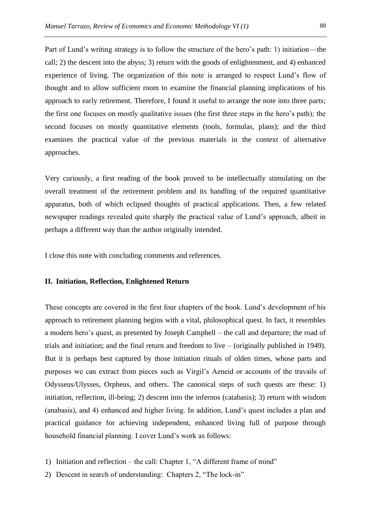Part of Lund's writing strategy is to follow the structure of the hero's path: 1) initiation—the call; 2) the descent into the abyss; 3) return with the goods of enlightenment, and 4) enhanced experience of living. The organization of this note is arranged to respect Lund's flow of thought and to allow sufficient room to examine the financial planning implications of his approach to early retirement. Therefore, I found it useful to arrange the note into three parts; the first one focuses on mostly qualitative issues (the first three steps in the hero's path); the second focuses on mostly quantitative elements (tools, formulas, plans); and the third examines the practical value of the previous materials in the context of alternative approaches.

Very curiously, a first reading of the book proved to be intellectually stimulating on the overall treatment of the retirement problem and its handling of the required quantitative apparatus, both of which eclipsed thoughts of practical applications. Then, a few related newspaper readings revealed quite sharply the practical value of Lund's approach, albeit in perhaps a different way than the author originally intended.

I close this note with concluding comments and references.

#### **II. Initiation, Reflection, Enlightened Return**

These concepts are covered in the first four chapters of the book. Lund's development of his approach to retirement planning begins with a vital, philosophical quest. In fact, it resembles a modern hero's quest, as presented by Joseph Campbell – the call and departure; the road of trials and initiation; and the final return and freedom to live – (originally published in 1949). But it is perhaps best captured by those initiation rituals of olden times, whose parts and purposes we can extract from pieces such as Virgil's Aeneid or accounts of the travails of Odysseus/Ulysses, Orpheus, and others. The canonical steps of such quests are these: 1) initiation, reflection, ill-being; 2) descent into the infernos (catabasis); 3) return with wisdom (anabasis), and 4) enhanced and higher living. In addition, Lund's quest includes a plan and practical guidance for achieving independent, enhanced living full of purpose through household financial planning. I cover Lund's work as follows:

- 1) Initiation and reflection the call: Chapter 1, "A different frame of mind"
- 2) Descent in search of understanding: Chapters 2, "The lock-in"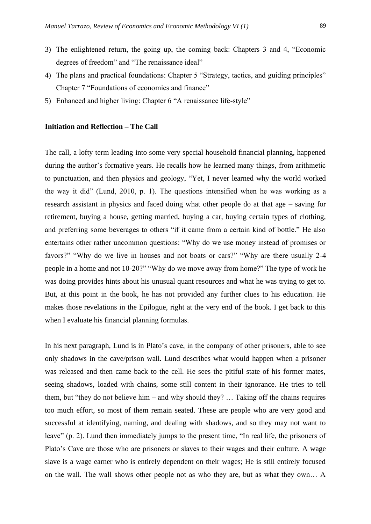- 3) The enlightened return, the going up, the coming back: Chapters 3 and 4, "Economic degrees of freedom" and "The renaissance ideal"
- 4) The plans and practical foundations: Chapter 5 "Strategy, tactics, and guiding principles" Chapter 7 "Foundations of economics and finance"
- 5) Enhanced and higher living: Chapter 6 "A renaissance life-style"

#### **Initiation and Reflection – The Call**

The call, a lofty term leading into some very special household financial planning, happened during the author's formative years. He recalls how he learned many things, from arithmetic to punctuation, and then physics and geology, "Yet, I never learned why the world worked the way it did" (Lund, 2010, p. 1). The questions intensified when he was working as a research assistant in physics and faced doing what other people do at that age – saving for retirement, buying a house, getting married, buying a car, buying certain types of clothing, and preferring some beverages to others "if it came from a certain kind of bottle." He also entertains other rather uncommon questions: "Why do we use money instead of promises or favors?" "Why do we live in houses and not boats or cars?" "Why are there usually 2-4 people in a home and not 10-20?" "Why do we move away from home?" The type of work he was doing provides hints about his unusual quant resources and what he was trying to get to. But, at this point in the book, he has not provided any further clues to his education. He makes those revelations in the Epilogue, right at the very end of the book. I get back to this when I evaluate his financial planning formulas.

In his next paragraph, Lund is in Plato's cave, in the company of other prisoners, able to see only shadows in the cave/prison wall. Lund describes what would happen when a prisoner was released and then came back to the cell. He sees the pitiful state of his former mates, seeing shadows, loaded with chains, some still content in their ignorance. He tries to tell them, but "they do not believe him – and why should they? … Taking off the chains requires too much effort, so most of them remain seated. These are people who are very good and successful at identifying, naming, and dealing with shadows, and so they may not want to leave" (p. 2). Lund then immediately jumps to the present time, "In real life, the prisoners of Plato's Cave are those who are prisoners or slaves to their wages and their culture. A wage slave is a wage earner who is entirely dependent on their wages; He is still entirely focused on the wall. The wall shows other people not as who they are, but as what they own… A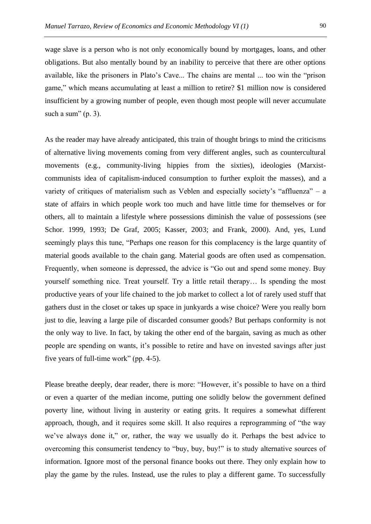wage slave is a person who is not only economically bound by mortgages, loans, and other obligations. But also mentally bound by an inability to perceive that there are other options available, like the prisoners in Plato's Cave... The chains are mental ... too win the "prison game," which means accumulating at least a million to retire? \$1 million now is considered insufficient by a growing number of people, even though most people will never accumulate such a sum" (p. 3).

As the reader may have already anticipated, this train of thought brings to mind the criticisms of alternative living movements coming from very different angles, such as countercultural movements (e.g., community-living hippies from the sixties), ideologies (Marxistcommunists idea of capitalism-induced consumption to further exploit the masses), and a variety of critiques of materialism such as Veblen and especially society's "affluenza" – a state of affairs in which people work too much and have little time for themselves or for others, all to maintain a lifestyle where possessions diminish the value of possessions (see Schor. 1999, 1993; De Graf, 2005; Kasser, 2003; and Frank, 2000). And, yes, Lund seemingly plays this tune, "Perhaps one reason for this complacency is the large quantity of material goods available to the chain gang. Material goods are often used as compensation. Frequently, when someone is depressed, the advice is "Go out and spend some money. Buy yourself something nice. Treat yourself. Try a little retail therapy… Is spending the most productive years of your life chained to the job market to collect a lot of rarely used stuff that gathers dust in the closet or takes up space in junkyards a wise choice? Were you really born just to die, leaving a large pile of discarded consumer goods? But perhaps conformity is not the only way to live. In fact, by taking the other end of the bargain, saving as much as other people are spending on wants, it's possible to retire and have on invested savings after just five years of full-time work" (pp. 4-5).

Please breathe deeply, dear reader, there is more: "However, it's possible to have on a third or even a quarter of the median income, putting one solidly below the government defined poverty line, without living in austerity or eating grits. It requires a somewhat different approach, though, and it requires some skill. It also requires a reprogramming of "the way we've always done it," or, rather, the way we usually do it. Perhaps the best advice to overcoming this consumerist tendency to "buy, buy, buy!" is to study alternative sources of information. Ignore most of the personal finance books out there. They only explain how to play the game by the rules. Instead, use the rules to play a different game. To successfully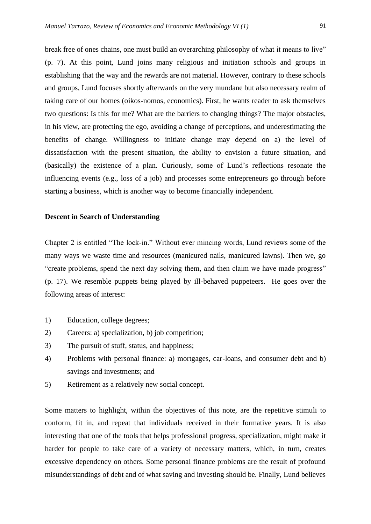break free of ones chains, one must build an overarching philosophy of what it means to live" (p. 7). At this point, Lund joins many religious and initiation schools and groups in establishing that the way and the rewards are not material. However, contrary to these schools and groups, Lund focuses shortly afterwards on the very mundane but also necessary realm of taking care of our homes (oikos-nomos, economics). First, he wants reader to ask themselves two questions: Is this for me? What are the barriers to changing things? The major obstacles, in his view, are protecting the ego, avoiding a change of perceptions, and underestimating the benefits of change. Willingness to initiate change may depend on a) the level of dissatisfaction with the present situation, the ability to envision a future situation, and (basically) the existence of a plan. Curiously, some of Lund's reflections resonate the influencing events (e.g., loss of a job) and processes some entrepreneurs go through before starting a business, which is another way to become financially independent.

### **Descent in Search of Understanding**

Chapter 2 is entitled "The lock-in." Without ever mincing words, Lund reviews some of the many ways we waste time and resources (manicured nails, manicured lawns). Then we, go "create problems, spend the next day solving them, and then claim we have made progress" (p. 17). We resemble puppets being played by ill-behaved puppeteers. He goes over the following areas of interest:

- 1) Education, college degrees;
- 2) Careers: a) specialization, b) job competition;
- 3) The pursuit of stuff, status, and happiness;
- 4) Problems with personal finance: a) mortgages, car-loans, and consumer debt and b) savings and investments; and
- 5) Retirement as a relatively new social concept.

Some matters to highlight, within the objectives of this note, are the repetitive stimuli to conform, fit in, and repeat that individuals received in their formative years. It is also interesting that one of the tools that helps professional progress, specialization, might make it harder for people to take care of a variety of necessary matters, which, in turn, creates excessive dependency on others. Some personal finance problems are the result of profound misunderstandings of debt and of what saving and investing should be. Finally, Lund believes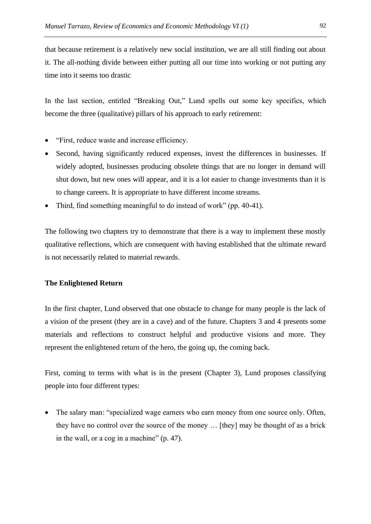that because retirement is a relatively new social institution, we are all still finding out about it. The all-nothing divide between either putting all our time into working or not putting any time into it seems too drastic

In the last section, entitled "Breaking Out," Lund spells out some key specifics, which become the three (qualitative) pillars of his approach to early retirement:

- "First, reduce waste and increase efficiency.
- Second, having significantly reduced expenses, invest the differences in businesses. If widely adopted, businesses producing obsolete things that are no longer in demand will shut down, but new ones will appear, and it is a lot easier to change investments than it is to change careers. It is appropriate to have different income streams.
- Third, find something meaningful to do instead of work" (pp. 40-41).

The following two chapters try to demonstrate that there is a way to implement these mostly qualitative reflections, which are consequent with having established that the ultimate reward is not necessarily related to material rewards.

## **The Enlightened Return**

In the first chapter, Lund observed that one obstacle to change for many people is the lack of a vision of the present (they are in a cave) and of the future. Chapters 3 and 4 presents some materials and reflections to construct helpful and productive visions and more. They represent the enlightened return of the hero, the going up, the coming back.

First, coming to terms with what is in the present (Chapter 3), Lund proposes classifying people into four different types:

• The salary man: "specialized wage earners who earn money from one source only. Often, they have no control over the source of the money … [they] may be thought of as a brick in the wall, or a cog in a machine" (p. 47).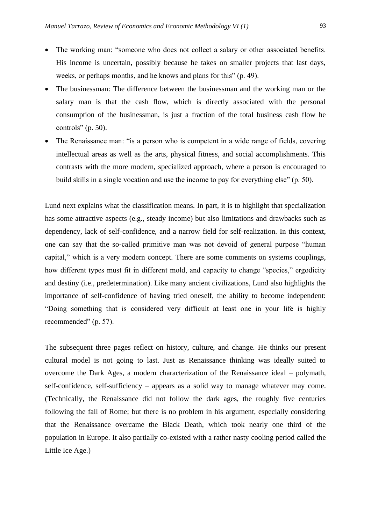- The working man: "someone who does not collect a salary or other associated benefits. His income is uncertain, possibly because he takes on smaller projects that last days, weeks, or perhaps months, and he knows and plans for this" (p. 49).
- The businessman: The difference between the businessman and the working man or the salary man is that the cash flow, which is directly associated with the personal consumption of the businessman, is just a fraction of the total business cash flow he controls" (p. 50).
- The Renaissance man: "is a person who is competent in a wide range of fields, covering intellectual areas as well as the arts, physical fitness, and social accomplishments. This contrasts with the more modern, specialized approach, where a person is encouraged to build skills in a single vocation and use the income to pay for everything else" (p. 50).

Lund next explains what the classification means. In part, it is to highlight that specialization has some attractive aspects (e.g., steady income) but also limitations and drawbacks such as dependency, lack of self-confidence, and a narrow field for self-realization. In this context, one can say that the so-called primitive man was not devoid of general purpose "human capital," which is a very modern concept. There are some comments on systems couplings, how different types must fit in different mold, and capacity to change "species," ergodicity and destiny (i.e., predetermination). Like many ancient civilizations, Lund also highlights the importance of self-confidence of having tried oneself, the ability to become independent: "Doing something that is considered very difficult at least one in your life is highly recommended" (p. 57).

The subsequent three pages reflect on history, culture, and change. He thinks our present cultural model is not going to last. Just as Renaissance thinking was ideally suited to overcome the Dark Ages, a modern characterization of the Renaissance ideal – polymath, self-confidence, self-sufficiency – appears as a solid way to manage whatever may come. (Technically, the Renaissance did not follow the dark ages, the roughly five centuries following the fall of Rome; but there is no problem in his argument, especially considering that the Renaissance overcame the Black Death, which took nearly one third of the population in Europe. It also partially co-existed with a rather nasty cooling period called the Little Ice Age.)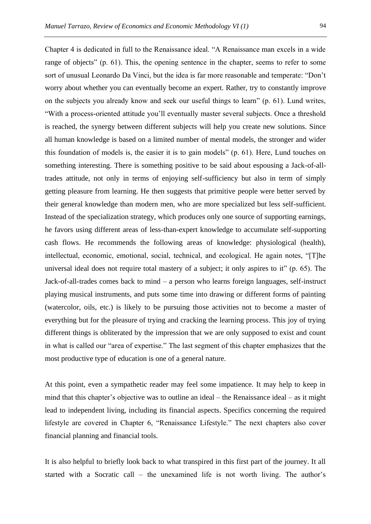Chapter 4 is dedicated in full to the Renaissance ideal. "A Renaissance man excels in a wide range of objects" (p. 61). This, the opening sentence in the chapter, seems to refer to some sort of unusual Leonardo Da Vinci, but the idea is far more reasonable and temperate: "Don't worry about whether you can eventually become an expert. Rather, try to constantly improve on the subjects you already know and seek our useful things to learn" (p. 61). Lund writes, "With a process-oriented attitude you'll eventually master several subjects. Once a threshold is reached, the synergy between different subjects will help you create new solutions. Since all human knowledge is based on a limited number of mental models, the stronger and wider this foundation of models is, the easier it is to gain models" (p. 61). Here, Lund touches on something interesting. There is something positive to be said about espousing a Jack-of-alltrades attitude, not only in terms of enjoying self-sufficiency but also in term of simply getting pleasure from learning. He then suggests that primitive people were better served by their general knowledge than modern men, who are more specialized but less self-sufficient. Instead of the specialization strategy, which produces only one source of supporting earnings, he favors using different areas of less-than-expert knowledge to accumulate self-supporting cash flows. He recommends the following areas of knowledge: physiological (health), intellectual, economic, emotional, social, technical, and ecological. He again notes, "[T]he universal ideal does not require total mastery of a subject; it only aspires to it" (p. 65). The Jack-of-all-trades comes back to mind – a person who learns foreign languages, self-instruct playing musical instruments, and puts some time into drawing or different forms of painting (watercolor, oils, etc.) is likely to be pursuing those activities not to become a master of everything but for the pleasure of trying and cracking the learning process. This joy of trying different things is obliterated by the impression that we are only supposed to exist and count in what is called our "area of expertise." The last segment of this chapter emphasizes that the most productive type of education is one of a general nature.

At this point, even a sympathetic reader may feel some impatience. It may help to keep in mind that this chapter's objective was to outline an ideal – the Renaissance ideal – as it might lead to independent living, including its financial aspects. Specifics concerning the required lifestyle are covered in Chapter 6, "Renaissance Lifestyle." The next chapters also cover financial planning and financial tools.

It is also helpful to briefly look back to what transpired in this first part of the journey. It all started with a Socratic call – the unexamined life is not worth living. The author's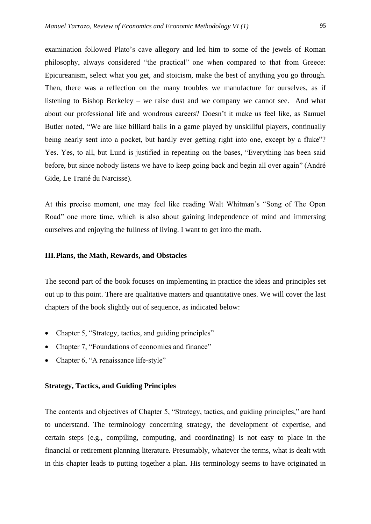examination followed Plato's cave allegory and led him to some of the jewels of Roman philosophy, always considered "the practical" one when compared to that from Greece: Epicureanism, select what you get, and stoicism, make the best of anything you go through. Then, there was a reflection on the many troubles we manufacture for ourselves, as if listening to Bishop Berkeley – we raise dust and we company we cannot see. And what about our professional life and wondrous careers? Doesn't it make us feel like, as Samuel Butler noted, "We are like billiard balls in a game played by unskillful players, continually being nearly sent into a pocket, but hardly ever getting right into one, except by a fluke"? Yes. Yes, to all, but Lund is justified in repeating on the bases, "Everything has been said before, but since nobody listens we have to keep going back and begin all over again" (André Gide, Le Traité du Narcisse).

At this precise moment, one may feel like reading Walt Whitman's "Song of The Open Road" one more time, which is also about gaining independence of mind and immersing ourselves and enjoying the fullness of living. I want to get into the math.

#### **III.Plans, the Math, Rewards, and Obstacles**

The second part of the book focuses on implementing in practice the ideas and principles set out up to this point. There are qualitative matters and quantitative ones. We will cover the last chapters of the book slightly out of sequence, as indicated below:

- Chapter 5, "Strategy, tactics, and guiding principles"
- Chapter 7, "Foundations of economics and finance"
- Chapter 6, "A renaissance life-style"

## **Strategy, Tactics, and Guiding Principles**

The contents and objectives of Chapter 5, "Strategy, tactics, and guiding principles," are hard to understand. The terminology concerning strategy, the development of expertise, and certain steps (e.g., compiling, computing, and coordinating) is not easy to place in the financial or retirement planning literature. Presumably, whatever the terms, what is dealt with in this chapter leads to putting together a plan. His terminology seems to have originated in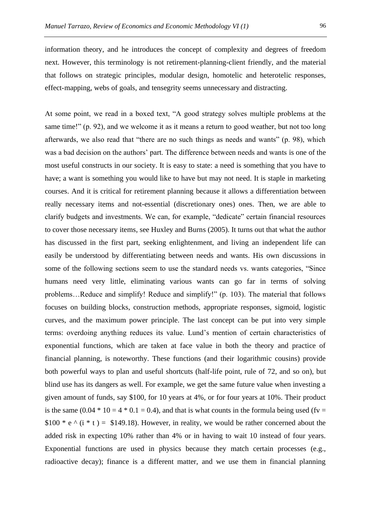information theory, and he introduces the concept of complexity and degrees of freedom next. However, this terminology is not retirement-planning-client friendly, and the material that follows on strategic principles, modular design, homotelic and heterotelic responses, effect-mapping, webs of goals, and tensegrity seems unnecessary and distracting.

At some point, we read in a boxed text, "A good strategy solves multiple problems at the same time!" (p. 92), and we welcome it as it means a return to good weather, but not too long afterwards, we also read that "there are no such things as needs and wants" (p. 98), which was a bad decision on the authors' part. The difference between needs and wants is one of the most useful constructs in our society. It is easy to state: a need is something that you have to have; a want is something you would like to have but may not need. It is staple in marketing courses. And it is critical for retirement planning because it allows a differentiation between really necessary items and not-essential (discretionary ones) ones. Then, we are able to clarify budgets and investments. We can, for example, "dedicate" certain financial resources to cover those necessary items, see Huxley and Burns (2005). It turns out that what the author has discussed in the first part, seeking enlightenment, and living an independent life can easily be understood by differentiating between needs and wants. His own discussions in some of the following sections seem to use the standard needs vs. wants categories, "Since humans need very little, eliminating various wants can go far in terms of solving problems…Reduce and simplify! Reduce and simplify!" (p. 103). The material that follows focuses on building blocks, construction methods, appropriate responses, sigmoid, logistic curves, and the maximum power principle. The last concept can be put into very simple terms: overdoing anything reduces its value. Lund's mention of certain characteristics of exponential functions, which are taken at face value in both the theory and practice of financial planning, is noteworthy. These functions (and their logarithmic cousins) provide both powerful ways to plan and useful shortcuts (half-life point, rule of 72, and so on), but blind use has its dangers as well. For example, we get the same future value when investing a given amount of funds, say \$100, for 10 years at 4%, or for four years at 10%. Their product is the same  $(0.04 * 10 = 4 * 0.1 = 0.4)$ , and that is what counts in the formula being used (fv = \$100 \* e  $\land$  (i \* t ) = \$149.18). However, in reality, we would be rather concerned about the added risk in expecting 10% rather than 4% or in having to wait 10 instead of four years. Exponential functions are used in physics because they match certain processes (e.g., radioactive decay); finance is a different matter, and we use them in financial planning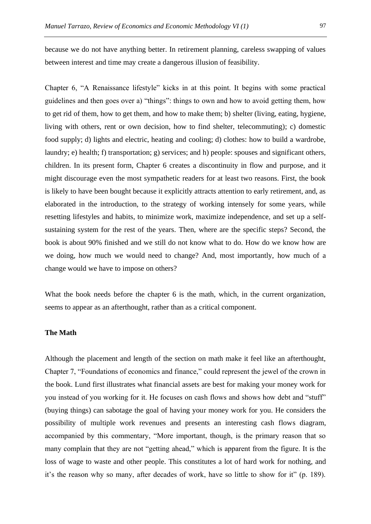because we do not have anything better. In retirement planning, careless swapping of values between interest and time may create a dangerous illusion of feasibility.

Chapter 6, "A Renaissance lifestyle" kicks in at this point. It begins with some practical guidelines and then goes over a) "things": things to own and how to avoid getting them, how to get rid of them, how to get them, and how to make them; b) shelter (living, eating, hygiene, living with others, rent or own decision, how to find shelter, telecommuting); c) domestic food supply; d) lights and electric, heating and cooling; d) clothes: how to build a wardrobe, laundry; e) health; f) transportation; g) services; and h) people: spouses and significant others, children. In its present form, Chapter 6 creates a discontinuity in flow and purpose, and it might discourage even the most sympathetic readers for at least two reasons. First, the book is likely to have been bought because it explicitly attracts attention to early retirement, and, as elaborated in the introduction, to the strategy of working intensely for some years, while resetting lifestyles and habits, to minimize work, maximize independence, and set up a selfsustaining system for the rest of the years. Then, where are the specific steps? Second, the book is about 90% finished and we still do not know what to do. How do we know how are we doing, how much we would need to change? And, most importantly, how much of a change would we have to impose on others?

What the book needs before the chapter 6 is the math, which, in the current organization, seems to appear as an afterthought, rather than as a critical component.

## **The Math**

Although the placement and length of the section on math make it feel like an afterthought, Chapter 7, "Foundations of economics and finance," could represent the jewel of the crown in the book. Lund first illustrates what financial assets are best for making your money work for you instead of you working for it. He focuses on cash flows and shows how debt and "stuff" (buying things) can sabotage the goal of having your money work for you. He considers the possibility of multiple work revenues and presents an interesting cash flows diagram, accompanied by this commentary, "More important, though, is the primary reason that so many complain that they are not "getting ahead," which is apparent from the figure. It is the loss of wage to waste and other people. This constitutes a lot of hard work for nothing, and it's the reason why so many, after decades of work, have so little to show for it" (p. 189).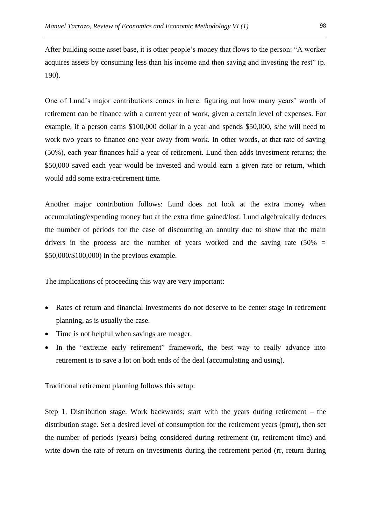After building some asset base, it is other people's money that flows to the person: "A worker acquires assets by consuming less than his income and then saving and investing the rest" (p. 190).

One of Lund's major contributions comes in here: figuring out how many years' worth of retirement can be finance with a current year of work, given a certain level of expenses. For example, if a person earns \$100,000 dollar in a year and spends \$50,000, s/he will need to work two years to finance one year away from work. In other words, at that rate of saving (50%), each year finances half a year of retirement. Lund then adds investment returns; the \$50,000 saved each year would be invested and would earn a given rate or return, which would add some extra-retirement time.

Another major contribution follows: Lund does not look at the extra money when accumulating/expending money but at the extra time gained/lost. Lund algebraically deduces the number of periods for the case of discounting an annuity due to show that the main drivers in the process are the number of years worked and the saving rate  $(50\%$  = \$50,000/\$100,000) in the previous example.

The implications of proceeding this way are very important:

- Rates of return and financial investments do not deserve to be center stage in retirement planning, as is usually the case.
- Time is not helpful when savings are meager.
- In the "extreme early retirement" framework, the best way to really advance into retirement is to save a lot on both ends of the deal (accumulating and using).

Traditional retirement planning follows this setup:

Step 1. Distribution stage. Work backwards; start with the years during retirement – the distribution stage. Set a desired level of consumption for the retirement years (pmtr), then set the number of periods (years) being considered during retirement (tr, retirement time) and write down the rate of return on investments during the retirement period (rr, return during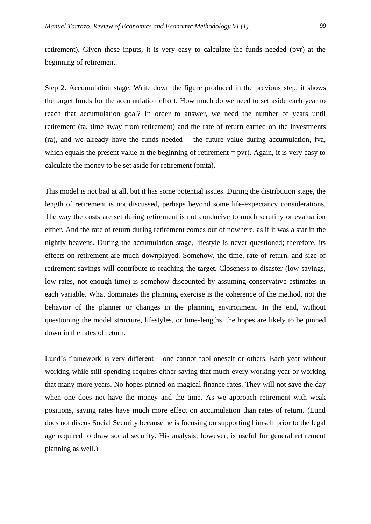Step 2. Accumulation stage. Write down the figure produced in the previous step; it shows the target funds for the accumulation effort. How much do we need to set aside each year to reach that accumulation goal? In order to answer, we need the number of years until retirement (ta, time away from retirement) and the rate of return earned on the investments (ra), and we already have the funds needed – the future value during accumulation, fva, which equals the present value at the beginning of retirement  $=$  pvr). Again, it is very easy to calculate the money to be set aside for retirement (pmta).

This model is not bad at all, but it has some potential issues. During the distribution stage, the length of retirement is not discussed, perhaps beyond some life-expectancy considerations. The way the costs are set during retirement is not conducive to much scrutiny or evaluation either. And the rate of return during retirement comes out of nowhere, as if it was a star in the nightly heavens. During the accumulation stage, lifestyle is never questioned; therefore, its effects on retirement are much downplayed. Somehow, the time, rate of return, and size of retirement savings will contribute to reaching the target. Closeness to disaster (low savings, low rates, not enough time) is somehow discounted by assuming conservative estimates in each variable. What dominates the planning exercise is the coherence of the method, not the behavior of the planner or changes in the planning environment. In the end, without questioning the model structure, lifestyles, or time-lengths, the hopes are likely to be pinned down in the rates of return.

Lund's framework is very different – one cannot fool oneself or others. Each year without working while still spending requires either saving that much every working year or working that many more years. No hopes pinned on magical finance rates. They will not save the day when one does not have the money and the time. As we approach retirement with weak positions, saving rates have much more effect on accumulation than rates of return. (Lund does not discus Social Security because he is focusing on supporting himself prior to the legal age required to draw social security. His analysis, however, is useful for general retirement planning as well.)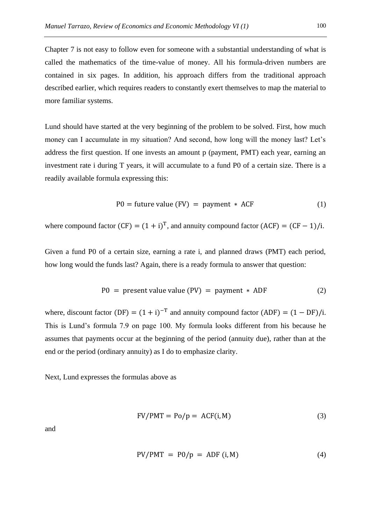Chapter 7 is not easy to follow even for someone with a substantial understanding of what is called the mathematics of the time-value of money. All his formula-driven numbers are contained in six pages. In addition, his approach differs from the traditional approach described earlier, which requires readers to constantly exert themselves to map the material to more familiar systems.

Lund should have started at the very beginning of the problem to be solved. First, how much money can I accumulate in my situation? And second, how long will the money last? Let's address the first question. If one invests an amount p (payment, PMT) each year, earning an investment rate i during T years, it will accumulate to a fund P0 of a certain size. There is a readily available formula expressing this:

$$
P0 = future value (FV) = payment * ACF
$$
 (1)

where compound factor  $(CF) = (1 + i)^T$ , and annuity compound factor  $(ACF) = (CF - 1)/i$ .

Given a fund P0 of a certain size, earning a rate i, and planned draws (PMT) each period, how long would the funds last? Again, there is a ready formula to answer that question:

$$
P0 = present value value (PV) = payment * ADF
$$
 (2)

where, discount factor  $(DF) = (1 + i)^{-T}$  and annuity compound factor  $(ADF) = (1 - DF)/i$ . This is Lund's formula 7.9 on page 100. My formula looks different from his because he assumes that payments occur at the beginning of the period (annuity due), rather than at the end or the period (ordinary annuity) as I do to emphasize clarity.

Next, Lund expresses the formulas above as

$$
FV/PMT = Po/p = ACF(i, M)
$$
 (3)

and

$$
PV/PMT = P0/p = ADF (i, M)
$$
 (4)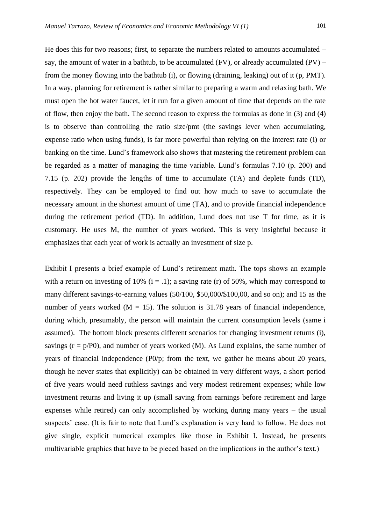He does this for two reasons; first, to separate the numbers related to amounts accumulated – say, the amount of water in a bathtub, to be accumulated  $(FV)$ , or already accumulated  $(PV)$  – from the money flowing into the bathtub (i), or flowing (draining, leaking) out of it (p, PMT). In a way, planning for retirement is rather similar to preparing a warm and relaxing bath. We must open the hot water faucet, let it run for a given amount of time that depends on the rate of flow, then enjoy the bath. The second reason to express the formulas as done in (3) and (4) is to observe than controlling the ratio size/pmt (the savings lever when accumulating, expense ratio when using funds), is far more powerful than relying on the interest rate (i) or banking on the time. Lund's framework also shows that mastering the retirement problem can be regarded as a matter of managing the time variable. Lund's formulas 7.10 (p. 200) and 7.15 (p. 202) provide the lengths of time to accumulate (TA) and deplete funds (TD), respectively. They can be employed to find out how much to save to accumulate the necessary amount in the shortest amount of time (TA), and to provide financial independence

during the retirement period (TD). In addition, Lund does not use T for time, as it is customary. He uses M, the number of years worked. This is very insightful because it emphasizes that each year of work is actually an investment of size p.

Exhibit I presents a brief example of Lund's retirement math. The tops shows an example with a return on investing of 10%  $(i = .1)$ ; a saving rate (r) of 50%, which may correspond to many different savings-to-earning values (50/100, \$50,000/\$100,00, and so on); and 15 as the number of years worked  $(M = 15)$ . The solution is 31.78 years of financial independence, during which, presumably, the person will maintain the current consumption levels (same i assumed). The bottom block presents different scenarios for changing investment returns (i), savings  $(r = p/P0)$ , and number of years worked  $(M)$ . As Lund explains, the same number of years of financial independence (P0/p; from the text, we gather he means about 20 years, though he never states that explicitly) can be obtained in very different ways, a short period of five years would need ruthless savings and very modest retirement expenses; while low investment returns and living it up (small saving from earnings before retirement and large expenses while retired) can only accomplished by working during many years – the usual suspects' case. (It is fair to note that Lund's explanation is very hard to follow. He does not give single, explicit numerical examples like those in Exhibit I. Instead, he presents multivariable graphics that have to be pieced based on the implications in the author's text.)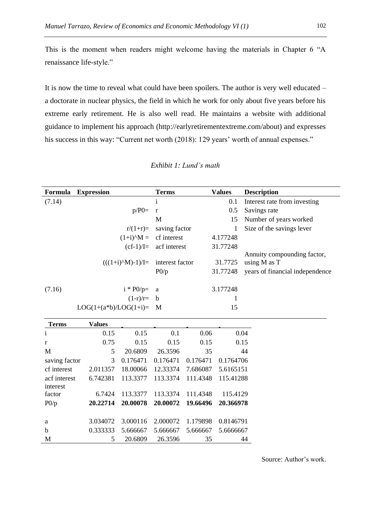This is the moment when readers might welcome having the materials in Chapter 6 "A renaissance life-style."

It is now the time to reveal what could have been spoilers. The author is very well educated – a doctorate in nuclear physics, the field in which he work for only about five years before his extreme early retirement. He is also well read. He maintains a website with additional guidance to implement his approach (http://earlyretirementextreme.com/about) and expresses his success in this way: "Current net worth (2018): 129 years' worth of annual expenses."

| Formula      | <b>Expression</b>                         | Terms                           | <b>Values</b> | <b>Description</b>              |
|--------------|-------------------------------------------|---------------------------------|---------------|---------------------------------|
| (7.14)       |                                           | $\mathbf{i}$                    | 0.1           | Interest rate from investing    |
|              | $p/P0=$                                   | $\mathbf{r}$                    | 0.5           | Savings rate                    |
|              |                                           | M                               | 15            | Number of years worked          |
|              | $r/(1+r)=$                                | saving factor                   |               | Size of the savings lever       |
|              |                                           | $(1+i)^{\wedge}M =$ cf interest | 4.177248      |                                 |
|              |                                           | $(cf-1)/I =$ acf interest       | 31.77248      |                                 |
|              |                                           |                                 |               | Annuity compounding factor,     |
|              | $(((1+i)^NM)-1)/I=$                       | interest factor                 | 31.7725       | using M as T                    |
|              |                                           | P0/p                            | 31.77248      | years of financial independence |
| (7.16)       | $i * PO/p = a$                            |                                 | 3.177248      |                                 |
|              | $(1-r)/r= b$                              |                                 |               |                                 |
|              | $LOG(1+(a*b)/LOG(1+i)= M$                 |                                 | 15            |                                 |
| <b>Terms</b> | <b>Values</b>                             |                                 |               |                                 |
|              | 0.15<br>0.15                              | 0.1                             | 0.06          | 0.04                            |
|              | $\cap$ $\pi$ $\pi$<br>$\wedge$ 1 $\vdash$ | $\wedge$ 1 $\sim$               | $\sim$ $\sim$ | $\sim$ 1 $\sim$                 |

## *Exhibit 1: Lund's math*

| Terms         | <b>Values</b> |          |          |          |           |
|---------------|---------------|----------|----------|----------|-----------|
| $\mathbf{i}$  | 0.15          | 0.15     | 0.1      | 0.06     | 0.04      |
| r             | 0.75          | 0.15     | 0.15     | 0.15     | 0.15      |
| M             | 5             | 20.6809  | 26.3596  | 35       | 44        |
| saving factor | 3             | 0.176471 | 0.176471 | 0.176471 | 0.1764706 |
| cf interest   | 2.011357      | 18.00066 | 12.33374 | 7.686087 | 5.6165151 |
| acf interest  | 6.742381      | 113.3377 | 113.3374 | 111.4348 | 115.41288 |
| interest      |               |          |          |          |           |
| factor        | 6.7424        | 113.3377 | 113.3374 | 111.4348 | 115.4129  |
| P0/p          | 20.22714      | 20.00078 | 20.00072 | 19.66496 | 20.366978 |
|               |               |          |          |          |           |
| a             | 3.034072      | 3.000116 | 2.000072 | 1.179898 | 0.8146791 |
| b             | 0.333333      | 5.666667 | 5.666667 | 5.666667 | 5.6666667 |
| М             | 5             | 20.6809  | 26.3596  | 35       | 44        |

Source: Author's work.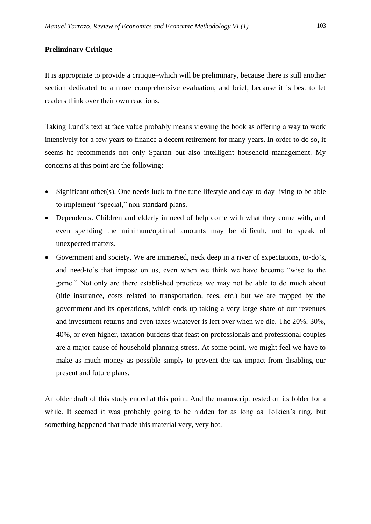## **Preliminary Critique**

It is appropriate to provide a critique–which will be preliminary, because there is still another section dedicated to a more comprehensive evaluation, and brief, because it is best to let readers think over their own reactions.

Taking Lund's text at face value probably means viewing the book as offering a way to work intensively for a few years to finance a decent retirement for many years. In order to do so, it seems he recommends not only Spartan but also intelligent household management. My concerns at this point are the following:

- Significant other(s). One needs luck to fine tune lifestyle and day-to-day living to be able to implement "special," non-standard plans.
- Dependents. Children and elderly in need of help come with what they come with, and even spending the minimum/optimal amounts may be difficult, not to speak of unexpected matters.
- Government and society. We are immersed, neck deep in a river of expectations, to-do's, and need-to's that impose on us, even when we think we have become "wise to the game." Not only are there established practices we may not be able to do much about (title insurance, costs related to transportation, fees, etc.) but we are trapped by the government and its operations, which ends up taking a very large share of our revenues and investment returns and even taxes whatever is left over when we die. The 20%, 30%, 40%, or even higher, taxation burdens that feast on professionals and professional couples are a major cause of household planning stress. At some point, we might feel we have to make as much money as possible simply to prevent the tax impact from disabling our present and future plans.

An older draft of this study ended at this point. And the manuscript rested on its folder for a while. It seemed it was probably going to be hidden for as long as Tolkien's ring, but something happened that made this material very, very hot.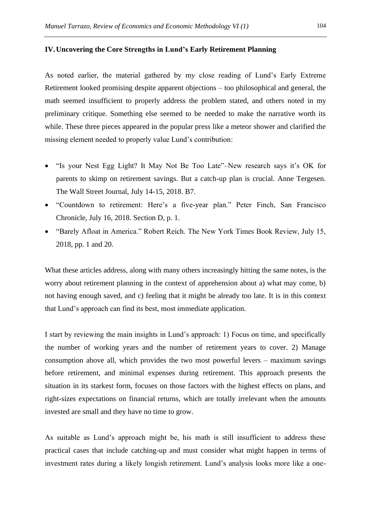#### **IV.Uncovering the Core Strengths in Lund's Early Retirement Planning**

As noted earlier, the material gathered by my close reading of Lund's Early Extreme Retirement looked promising despite apparent objections – too philosophical and general, the math seemed insufficient to properly address the problem stated, and others noted in my preliminary critique. Something else seemed to be needed to make the narrative worth its while. These three pieces appeared in the popular press like a meteor shower and clarified the missing element needed to properly value Lund's contribution:

- "Is your Nest Egg Light? It May Not Be Too Late"–New research says it's OK for parents to skimp on retirement savings. But a catch-up plan is crucial. Anne Tergesen. The Wall Street Journal, July 14-15, 2018. B7.
- "Countdown to retirement: Here's a five-year plan." Peter Finch, San Francisco Chronicle, July 16, 2018. Section D, p. 1.
- "Barely Afloat in America." Robert Reich. The New York Times Book Review, July 15, 2018, pp. 1 and 20.

What these articles address, along with many others increasingly hitting the same notes, is the worry about retirement planning in the context of apprehension about a) what may come, b) not having enough saved, and c) feeling that it might be already too late. It is in this context that Lund's approach can find its best, most immediate application.

I start by reviewing the main insights in Lund's approach: 1) Focus on time, and specifically the number of working years and the number of retirement years to cover. 2) Manage consumption above all, which provides the two most powerful levers – maximum savings before retirement, and minimal expenses during retirement. This approach presents the situation in its starkest form, focuses on those factors with the highest effects on plans, and right-sizes expectations on financial returns, which are totally irrelevant when the amounts invested are small and they have no time to grow.

As suitable as Lund's approach might be, his math is still insufficient to address these practical cases that include catching-up and must consider what might happen in terms of investment rates during a likely longish retirement. Lund's analysis looks more like a one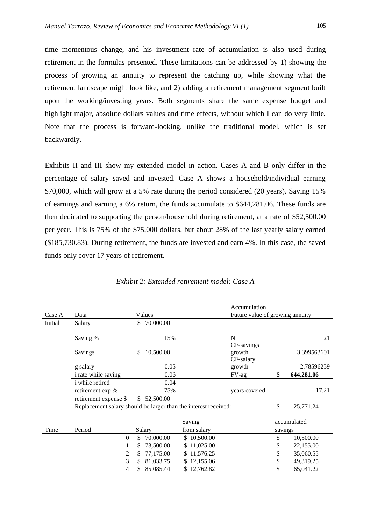time momentous change, and his investment rate of accumulation is also used during retirement in the formulas presented. These limitations can be addressed by 1) showing the process of growing an annuity to represent the catching up, while showing what the retirement landscape might look like, and 2) adding a retirement management segment built upon the working/investing years. Both segments share the same expense budget and highlight major, absolute dollars values and time effects, without which I can do very little. Note that the process is forward-looking, unlike the traditional model, which is set backwardly.

Exhibits II and III show my extended model in action. Cases A and B only differ in the percentage of salary saved and invested. Case A shows a household/individual earning \$70,000, which will grow at a 5% rate during the period considered (20 years). Saving 15% of earnings and earning a 6% return, the funds accumulate to \$644,281.06. These funds are then dedicated to supporting the person/household during retirement, at a rate of \$52,500.00 per year. This is 75% of the \$75,000 dollars, but about 28% of the last yearly salary earned (\$185,730.83). During retirement, the funds are invested and earn 4%. In this case, the saved funds only cover 17 years of retirement.

|         |                                                                 |     |             |             | Accumulation                    |         |             |
|---------|-----------------------------------------------------------------|-----|-------------|-------------|---------------------------------|---------|-------------|
|         |                                                                 |     |             |             |                                 |         |             |
| Case A  | Data                                                            |     | Values      |             | Future value of growing annuity |         |             |
| Initial | Salary                                                          | S.  | 70,000.00   |             |                                 |         |             |
|         |                                                                 |     |             |             |                                 |         |             |
|         | Saving %                                                        |     | 15%         |             | N                               |         | 21          |
|         |                                                                 |     |             |             | CF-savings                      |         |             |
|         | Savings                                                         | \$. | 10,500.00   |             | growth                          |         | 3.399563601 |
|         |                                                                 |     |             |             | CF-salary                       |         |             |
|         | g salary                                                        |     | 0.05        |             | growth                          |         | 2.78596259  |
|         | i rate while saving                                             |     | 0.06        |             | FV-ag                           | \$      | 644,281.06  |
|         | <i>i</i> while retired                                          |     | 0.04        |             |                                 |         |             |
|         | retirement exp %                                                |     | 75%         |             | years covered                   |         | 17.21       |
|         | retirement expense \$                                           |     | \$52,500.00 |             |                                 |         |             |
|         |                                                                 |     |             |             |                                 |         |             |
|         | Replacement salary should be larger than the interest received: |     |             |             |                                 | \$      | 25,771.24   |
|         |                                                                 |     |             |             |                                 |         |             |
|         |                                                                 |     |             | Saving      |                                 |         | accumulated |
| Time    | Period                                                          |     | Salary      | from salary |                                 | savings |             |
|         | $\Omega$                                                        | \$  | 70,000.00   | \$10,500.00 |                                 | \$      | 10,500.00   |
|         | 1                                                               | \$. | 73,500.00   | \$11,025.00 |                                 | \$      | 22,155.00   |
|         | 2                                                               | \$. | 77,175.00   | \$11,576.25 |                                 | \$      | 35,060.55   |
|         | 3                                                               | \$. | 81,033.75   | \$12,155.06 |                                 | \$      | 49,319.25   |
|         | 4                                                               | S   | 85,085.44   | \$12,762.82 |                                 | \$      | 65,041.22   |
|         |                                                                 |     |             |             |                                 |         |             |

*Exhibit 2: Extended retirement model: Case A*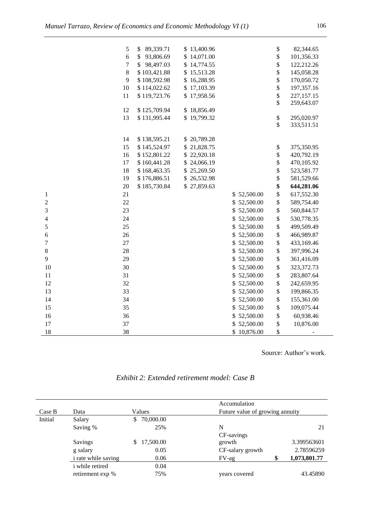|                  | 5  | \$<br>89,339.71 | \$13,400.96 |                 | \$                | 82,344.65    |
|------------------|----|-----------------|-------------|-----------------|-------------------|--------------|
|                  | 6  | 93,806.69<br>\$ | \$14,071.00 |                 | \$                | 101,356.33   |
|                  | 7  | \$<br>98,497.03 | \$14,774.55 |                 | \$                | 122,212.26   |
|                  | 8  | \$103,421.88    | \$15,513.28 |                 | \$                | 145,058.28   |
|                  | 9  | \$108,592.98    | \$16,288.95 |                 | \$                | 170,050.72   |
|                  | 10 | \$114,022.62    | \$17,103.39 |                 | \$                | 197,357.16   |
|                  | 11 | \$119,723.76    | \$17,958.56 |                 | \$                | 227, 157. 15 |
|                  |    |                 |             |                 | \$                | 259,643.07   |
|                  | 12 | \$125,709.94    | \$18,856.49 |                 |                   |              |
|                  | 13 | \$131,995.44    | \$19,799.32 |                 | $\boldsymbol{\$}$ | 295,020.97   |
|                  |    |                 |             |                 | \$                | 333,511.51   |
|                  | 14 | \$138,595.21    | \$20,789.28 |                 |                   |              |
|                  | 15 | \$145,524.97    | \$21,828.75 |                 | \$                | 375,350.95   |
|                  | 16 | \$152,801.22    | \$22,920.18 |                 | \$                | 420,792.19   |
|                  | 17 | \$160,441.28    | \$24,066.19 |                 | \$                | 470,105.92   |
|                  | 18 | \$168,463.35    | \$25,269.50 |                 | \$                | 523,581.77   |
|                  | 19 | \$176,886.51    | \$26,532.98 |                 | \$                | 581,529.66   |
|                  | 20 | \$185,730.84    | \$27,859.63 |                 | \$                | 644,281.06   |
| $\mathbf{1}$     | 21 |                 |             | 52,500.00<br>\$ | \$                | 617,552.30   |
| $\overline{c}$   | 22 |                 |             | \$<br>52,500.00 | \$                | 589,754.40   |
| 3                | 23 |                 |             | \$<br>52,500.00 | \$                | 560,844.57   |
| 4                | 24 |                 |             | \$<br>52,500.00 | \$                | 530,778.35   |
| 5                | 25 |                 |             | 52,500.00<br>\$ | \$                | 499,509.49   |
| $\sqrt{6}$       | 26 |                 |             | \$<br>52,500.00 | \$                | 466,989.87   |
| $\boldsymbol{7}$ | 27 |                 |             | 52,500.00<br>\$ | \$                | 433,169.46   |
| $8\,$            | 28 |                 |             | \$<br>52,500.00 | \$                | 397,996.24   |
| 9                | 29 |                 |             | \$52,500.00     | \$                | 361,416.09   |
| 10               | 30 |                 |             | \$<br>52,500.00 | \$                | 323, 372. 73 |
| 11               | 31 |                 |             | \$<br>52,500.00 | \$                | 283,807.64   |
| 12               | 32 |                 |             | \$52,500.00     | \$                | 242,659.95   |
| 13               | 33 |                 |             | \$52,500.00     | \$                | 199,866.35   |
| 14               | 34 |                 |             | 52,500.00<br>\$ | \$                | 155,361.00   |
| 15               | 35 |                 |             | \$<br>52,500.00 | \$                | 109,075.44   |
| 16               | 36 |                 |             | \$<br>52,500.00 | \$                | 60,938.46    |
| 17               | 37 |                 |             | \$<br>52,500.00 | \$                | 10,876.00    |
| 18               | 38 |                 |             | \$10,876.00     | \$                |              |
|                  |    |                 |             |                 |                   |              |

Source: Author's work.

| Exhibit 2: Extended retirement model: Case B |  |
|----------------------------------------------|--|
|----------------------------------------------|--|

|         |                            |                 | Accumulation     |                                 |              |  |  |
|---------|----------------------------|-----------------|------------------|---------------------------------|--------------|--|--|
| Case B  | Data                       | Values          |                  | Future value of growing annuity |              |  |  |
| Initial | Salary                     | 70,000.00<br>\$ |                  |                                 |              |  |  |
|         | Saving %                   | 25%             | N                |                                 | 21           |  |  |
|         |                            |                 | CF-savings       |                                 |              |  |  |
|         | Savings                    | 17,500.00<br>\$ | growth           |                                 | 3.399563601  |  |  |
|         | g salary                   | 0.05            | CF-salary growth |                                 | 2.78596259   |  |  |
|         | <i>i</i> rate while saving | 0.06            | $FV$ -ag         | \$                              | 1,073,801.77 |  |  |
|         | <i>i</i> while retired     | 0.04            |                  |                                 |              |  |  |
|         | retirement exp %           | 75%             | years covered    |                                 | 43.45890     |  |  |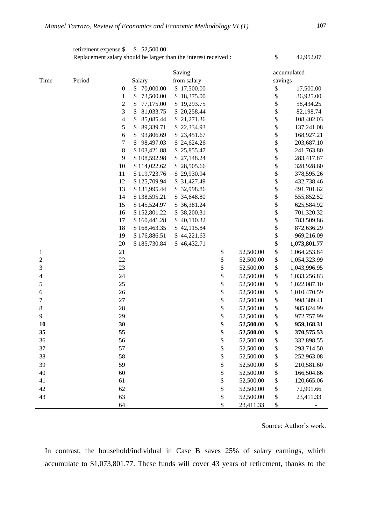retirement expense  $\frac{1}{2}$  \$ 52,500.00 Replacement salary should be larger than the interest received :  $\qquad$  \$ 42,952.07

Saving accumulated Time Period Salary from salary savings 0 \$ 70,000.00 \$ 17,500.00 \$ 17,500.00 1 \$ 73,500.00 \$ 18,375.00 \$ \$ 36,925.00 2 \$ 77,175.00 \$ 19,293.75 \$ 58,434.25 3 \$ 81,033.75 \$ 20,258.44 \$ 82,198.74 4 \$ 85,085.44 \$ 21,271.36 \$ 108,402.03 5 \$ 89,339.71 \$ 22,334.93 \$ 137,241.08 6 \$ 93,806.69 \$ 23,451.67 \$ 168,927.21 7 \$ 98,497.03 \$ 24,624.26 \$ 203,687.10 8 \$ 103,421.88 \$ 25,855.47 \$ 241,763.80 9 \$ 108,592.98 \$ 27,148.24 \$ 283,417.87 10 \$ 114,022.62 \$ 28,505.66 \$ 328,928.60 11 \$119,723.76 \$29,930.94 \$378,595.26 12 \$ 125,709.94 \$ 31,427.49 \$ 432,738.46 13 \$ 131,995.44 \$ 32,998.86 \$ 491,701.62 14 \$ 138,595.21 \$ 34,648.80 \$ 555,852.52 15 \$ 145,524.97 \$ 36,381.24 \$ 625,584.92 16 \$ 152,801.22 \$ 38,200.31 \$ 701,320.32 17 \$ 160,441.28 \$ 40,110.32 \$ 783,509.86 18 \$ 168,463.35 \$ 42,115.84 \$ 872,636.29 19 \$ 176,886.51 \$ 44,221.63 \$ 969,216.09 20 \$ 185,730.84 \$ 46,432.71 **\$ 1,073,801.77**  1 21 \$ 52,500.00 \$ 1,064,253.84 2 2 2 3 32500.00 \$ 1,054,323.99 3 23 \$ 52,500.00 \$ 1,043,996.95 4 24 \$ 52,500.00 \$ 1,033,256.83 5 25 \$ 52,500.00 \$ 1,022,087.10 6 26 \$ 52,500.00 \$ 1,010,470.59 7 27 \$ 52,500.00 \$ 998,389.41 8 28 28 52,500.00 \$ 985,824.99 9 29 \$ 52,500.00 \$ 972,757.99 **10 30 \$ 52,500.00 \$ 959,168.31 35 55 \$ 52,500.00 \$ 370,575.53**  36 56 \$ 52,500.00 \$ 332,898.55 37 57 \$ 52,500.00 \$ 293,714.50 38 58 \$ 52,500.00 \$ 252,963.08 39 59 59 \$ 52,500.00 \$ 210,581.60 40 60 60 \$ 52,500.00 \$ 166,504.86 41 61 61 \$ 52,500.00 \$ 120,665.06 42 62 \$ 52,500.00 \$ 72,991.66 43 63 63 \$ 52,500.00 \$ 23,411.33 64 \$ 23,411.33 \$

Source: Author's work.

In contrast, the household/individual in Case B saves 25% of salary earnings, which accumulate to \$1,073,801.77. These funds will cover 43 years of retirement, thanks to the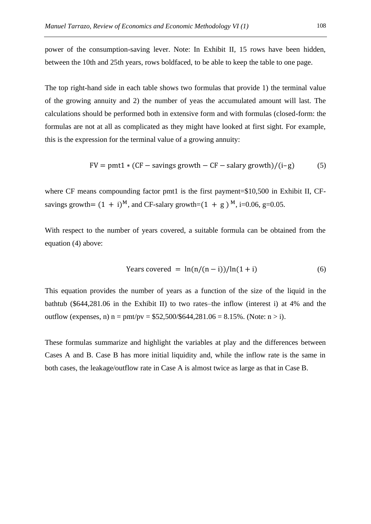power of the consumption-saving lever. Note: In Exhibit II, 15 rows have been hidden, between the 10th and 25th years, rows boldfaced, to be able to keep the table to one page.

The top right-hand side in each table shows two formulas that provide 1) the terminal value of the growing annuity and 2) the number of yeas the accumulated amount will last. The calculations should be performed both in extensive form and with formulas (closed-form: the formulas are not at all as complicated as they might have looked at first sight. For example, this is the expression for the terminal value of a growing annuity:

$$
FV = pmt1 * (CF - savings growth - CF - salary growth)/(i-g)
$$
 (5)

where CF means compounding factor pmt1 is the first payment=\$10,500 in Exhibit II, CFsavings growth=  $(1 + i)^M$ , and CF-salary growth= $(1 + g)^M$ , i=0.06, g=0.05.

With respect to the number of years covered, a suitable formula can be obtained from the equation (4) above:

$$
Years covered = \ln(n/(n-i))/\ln(1+i)
$$
 (6)

This equation provides the number of years as a function of the size of the liquid in the bathtub (\$644,281.06 in the Exhibit II) to two rates–the inflow (interest i) at 4% and the outflow (expenses, n)  $n = \frac{pmt}{pv} = $52,500/$644,281.06 = 8.15%$ . (Note:  $n > i$ ).

These formulas summarize and highlight the variables at play and the differences between Cases A and B. Case B has more initial liquidity and, while the inflow rate is the same in both cases, the leakage/outflow rate in Case A is almost twice as large as that in Case B.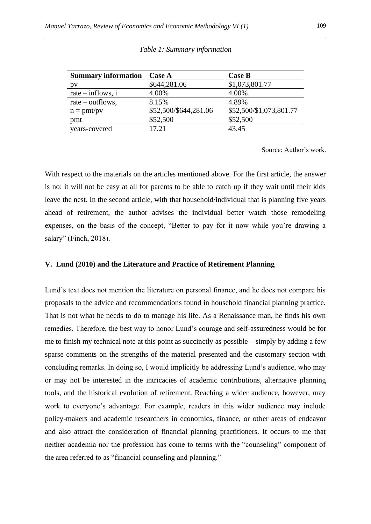| <b>Summary information</b>   | <b>Case A</b>         | <b>Case B</b>           |
|------------------------------|-----------------------|-------------------------|
| DV                           | \$644,281.06          | \$1,073,801.77          |
| rate $-$ inflows, i          | 4.00%                 | 4.00%                   |
| rate – outflows,             | 8.15%                 | 4.89%                   |
| $n = \text{pmt} / \text{pv}$ | \$52,500/\$644,281.06 | \$52,500/\$1,073,801.77 |
| pmt                          | \$52,500              | \$52,500                |
| years-covered                | 17.21                 | 43.45                   |

|  | Table 1: Summary information |  |
|--|------------------------------|--|

Source: Author's work.

With respect to the materials on the articles mentioned above. For the first article, the answer is no: it will not be easy at all for parents to be able to catch up if they wait until their kids leave the nest. In the second article, with that household/individual that is planning five years ahead of retirement, the author advises the individual better watch those remodeling expenses, on the basis of the concept, "Better to pay for it now while you're drawing a salary" (Finch, 2018).

## **V. Lund (2010) and the Literature and Practice of Retirement Planning**

Lund's text does not mention the literature on personal finance, and he does not compare his proposals to the advice and recommendations found in household financial planning practice. That is not what he needs to do to manage his life. As a Renaissance man, he finds his own remedies. Therefore, the best way to honor Lund's courage and self-assuredness would be for me to finish my technical note at this point as succinctly as possible – simply by adding a few sparse comments on the strengths of the material presented and the customary section with concluding remarks. In doing so, I would implicitly be addressing Lund's audience, who may or may not be interested in the intricacies of academic contributions, alternative planning tools, and the historical evolution of retirement. Reaching a wider audience, however, may work to everyone's advantage. For example, readers in this wider audience may include policy-makers and academic researchers in economics, finance, or other areas of endeavor and also attract the consideration of financial planning practitioners. It occurs to me that neither academia nor the profession has come to terms with the "counseling" component of the area referred to as "financial counseling and planning."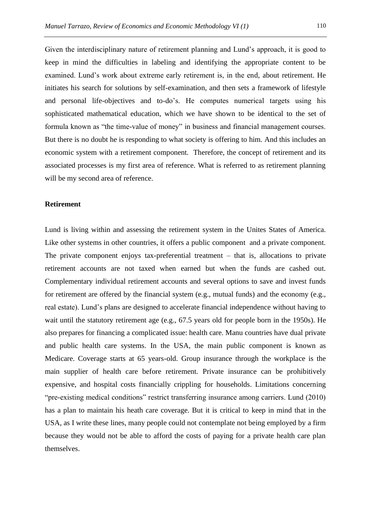Given the interdisciplinary nature of retirement planning and Lund's approach, it is good to keep in mind the difficulties in labeling and identifying the appropriate content to be examined. Lund's work about extreme early retirement is, in the end, about retirement. He initiates his search for solutions by self-examination, and then sets a framework of lifestyle and personal life-objectives and to-do's. He computes numerical targets using his sophisticated mathematical education, which we have shown to be identical to the set of formula known as "the time-value of money" in business and financial management courses. But there is no doubt he is responding to what society is offering to him. And this includes an economic system with a retirement component. Therefore, the concept of retirement and its associated processes is my first area of reference. What is referred to as retirement planning will be my second area of reference.

## **Retirement**

Lund is living within and assessing the retirement system in the Unites States of America. Like other systems in other countries, it offers a public component and a private component. The private component enjoys tax-preferential treatment – that is, allocations to private retirement accounts are not taxed when earned but when the funds are cashed out. Complementary individual retirement accounts and several options to save and invest funds for retirement are offered by the financial system (e.g., mutual funds) and the economy (e.g., real estate). Lund's plans are designed to accelerate financial independence without having to wait until the statutory retirement age (e.g., 67.5 years old for people born in the 1950s). He also prepares for financing a complicated issue: health care. Manu countries have dual private and public health care systems. In the USA, the main public component is known as Medicare. Coverage starts at 65 years-old. Group insurance through the workplace is the main supplier of health care before retirement. Private insurance can be prohibitively expensive, and hospital costs financially crippling for households. Limitations concerning "pre-existing medical conditions" restrict transferring insurance among carriers. Lund (2010) has a plan to maintain his heath care coverage. But it is critical to keep in mind that in the USA, as I write these lines, many people could not contemplate not being employed by a firm because they would not be able to afford the costs of paying for a private health care plan themselves.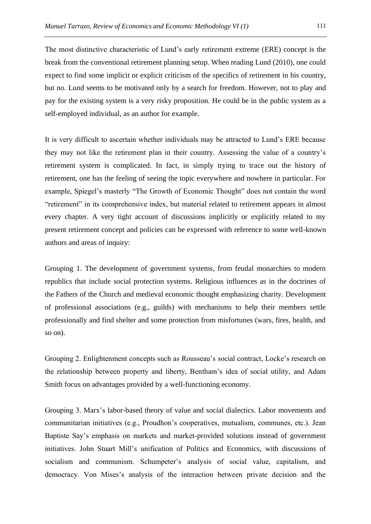The most distinctive characteristic of Lund's early retirement extreme (ERE) concept is the break from the conventional retirement planning setup. When reading Lund (2010), one could expect to find some implicit or explicit criticism of the specifics of retirement in his country, but no. Lund seems to be motivated only by a search for freedom. However, not to play and pay for the existing system is a very risky proposition. He could be in the public system as a self-employed individual, as an author for example.

It is very difficult to ascertain whether individuals may be attracted to Lund's ERE because they may not like the retirement plan in their country. Assessing the value of a country's retirement system is complicated. In fact, in simply trying to trace out the history of retirement, one has the feeling of seeing the topic everywhere and nowhere in particular. For example, Spiegel's masterly "The Growth of Economic Thought" does not contain the word "retirement" in its comprehensive index, but material related to retirement appears in almost every chapter. A very tight account of discussions implicitly or explicitly related to my present retirement concept and policies can be expressed with reference to some well-known authors and areas of inquiry:

Grouping 1. The development of government systems, from feudal monarchies to modern republics that include social protection systems. Religious influences as in the doctrines of the Fathers of the Church and medieval economic thought emphasizing charity. Development of professional associations (e.g., guilds) with mechanisms to help their members settle professionally and find shelter and some protection from misfortunes (wars, fires, health, and so on).

Grouping 2. Enlightenment concepts such as Rousseau's social contract, Locke's research on the relationship between property and liberty, Bentham's idea of social utility, and Adam Smith focus on advantages provided by a well-functioning economy.

Grouping 3. Marx's labor-based theory of value and social dialectics. Labor movements and communitarian initiatives (e.g., Proudhon's cooperatives, mutualism, communes, etc.). Jean Baptiste Say's emphasis on markets and market-provided solutions instead of government initiatives. John Stuart Mill's unification of Politics and Economics, with discussions of socialism and communism. Schumpeter's analysis of social value, capitalism, and democracy. Von Mises's analysis of the interaction between private decision and the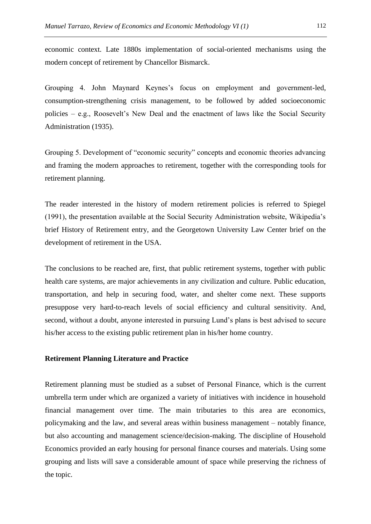economic context. Late 1880s implementation of social-oriented mechanisms using the modern concept of retirement by Chancellor Bismarck.

Grouping 4. John Maynard Keynes's focus on employment and government-led, consumption-strengthening crisis management, to be followed by added socioeconomic policies – e.g., Roosevelt's New Deal and the enactment of laws like the Social Security Administration (1935).

Grouping 5. Development of "economic security" concepts and economic theories advancing and framing the modern approaches to retirement, together with the corresponding tools for retirement planning.

The reader interested in the history of modern retirement policies is referred to Spiegel (1991), the presentation available at the Social Security Administration website, Wikipedia's brief History of Retirement entry, and the Georgetown University Law Center brief on the development of retirement in the USA.

The conclusions to be reached are, first, that public retirement systems, together with public health care systems, are major achievements in any civilization and culture. Public education, transportation, and help in securing food, water, and shelter come next. These supports presuppose very hard-to-reach levels of social efficiency and cultural sensitivity. And, second, without a doubt, anyone interested in pursuing Lund's plans is best advised to secure his/her access to the existing public retirement plan in his/her home country.

## **Retirement Planning Literature and Practice**

Retirement planning must be studied as a subset of Personal Finance, which is the current umbrella term under which are organized a variety of initiatives with incidence in household financial management over time. The main tributaries to this area are economics, policymaking and the law, and several areas within business management – notably finance, but also accounting and management science/decision-making. The discipline of Household Economics provided an early housing for personal finance courses and materials. Using some grouping and lists will save a considerable amount of space while preserving the richness of the topic.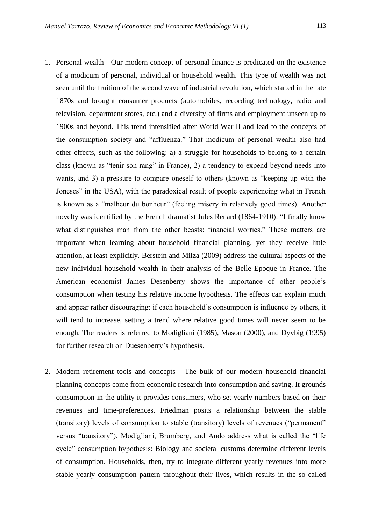- 1. Personal wealth Our modern concept of personal finance is predicated on the existence of a modicum of personal, individual or household wealth. This type of wealth was not seen until the fruition of the second wave of industrial revolution, which started in the late 1870s and brought consumer products (automobiles, recording technology, radio and television, department stores, etc.) and a diversity of firms and employment unseen up to 1900s and beyond. This trend intensified after World War II and lead to the concepts of the consumption society and "affluenza." That modicum of personal wealth also had other effects, such as the following: a) a struggle for households to belong to a certain class (known as "tenir son rang" in France), 2) a tendency to expend beyond needs into wants, and 3) a pressure to compare oneself to others (known as "keeping up with the Joneses" in the USA), with the paradoxical result of people experiencing what in French is known as a "malheur du bonheur" (feeling misery in relatively good times). Another novelty was identified by the French dramatist Jules Renard (1864-1910): "I finally know what distinguishes man from the other beasts: financial worries." These matters are important when learning about household financial planning, yet they receive little attention, at least explicitly. Berstein and Milza (2009) address the cultural aspects of the new individual household wealth in their analysis of the Belle Epoque in France. The American economist James Desenberry shows the importance of other people's consumption when testing his relative income hypothesis. The effects can explain much and appear rather discouraging: if each household's consumption is influence by others, it will tend to increase, setting a trend where relative good times will never seem to be enough. The readers is referred to Modigliani (1985), Mason (2000), and Dyvbig (1995) for further research on Duesenberry's hypothesis.
- 2. Modern retirement tools and concepts The bulk of our modern household financial planning concepts come from economic research into consumption and saving. It grounds consumption in the utility it provides consumers, who set yearly numbers based on their revenues and time-preferences. Friedman posits a relationship between the stable (transitory) levels of consumption to stable (transitory) levels of revenues ("permanent" versus "transitory"). Modigliani, Brumberg, and Ando address what is called the "life cycle" consumption hypothesis: Biology and societal customs determine different levels of consumption. Households, then, try to integrate different yearly revenues into more stable yearly consumption pattern throughout their lives, which results in the so-called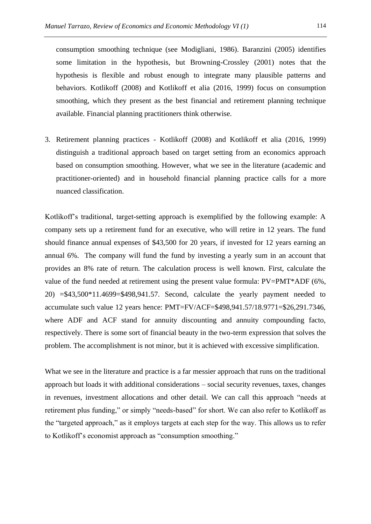consumption smoothing technique (see Modigliani, 1986). Baranzini (2005) identifies some limitation in the hypothesis, but Browning-Crossley (2001) notes that the hypothesis is flexible and robust enough to integrate many plausible patterns and behaviors. Kotlikoff (2008) and Kotlikoff et alia (2016, 1999) focus on consumption smoothing, which they present as the best financial and retirement planning technique available. Financial planning practitioners think otherwise.

3. Retirement planning practices - Kotlikoff (2008) and Kotlikoff et alia (2016, 1999) distinguish a traditional approach based on target setting from an economics approach based on consumption smoothing. However, what we see in the literature (academic and practitioner-oriented) and in household financial planning practice calls for a more nuanced classification.

Kotlikoff's traditional, target-setting approach is exemplified by the following example: A company sets up a retirement fund for an executive, who will retire in 12 years. The fund should finance annual expenses of \$43,500 for 20 years, if invested for 12 years earning an annual 6%. The company will fund the fund by investing a yearly sum in an account that provides an 8% rate of return. The calculation process is well known. First, calculate the value of the fund needed at retirement using the present value formula: PV=PMT\*ADF (6%, 20) =\$43,500\*11.4699=\$498,941.57. Second, calculate the yearly payment needed to accumulate such value 12 years hence: PMT=FV/ACF=\$498,941.57/18.9771=\$26,291.7346, where ADF and ACF stand for annuity discounting and annuity compounding facto, respectively. There is some sort of financial beauty in the two-term expression that solves the problem. The accomplishment is not minor, but it is achieved with excessive simplification.

What we see in the literature and practice is a far messier approach that runs on the traditional approach but loads it with additional considerations – social security revenues, taxes, changes in revenues, investment allocations and other detail. We can call this approach "needs at retirement plus funding," or simply "needs-based" for short. We can also refer to Kotlikoff as the "targeted approach," as it employs targets at each step for the way. This allows us to refer to Kotlikoff's economist approach as "consumption smoothing."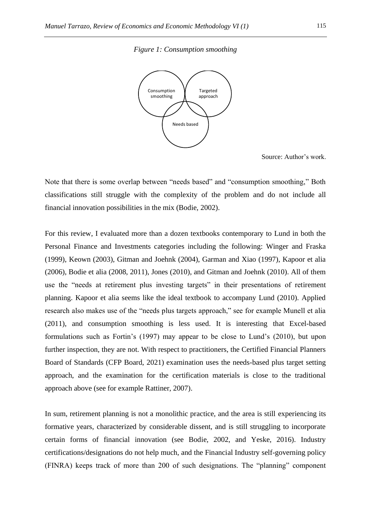



Source: Author's work.

Note that there is some overlap between "needs based" and "consumption smoothing," Both classifications still struggle with the complexity of the problem and do not include all financial innovation possibilities in the mix (Bodie, 2002).

For this review, I evaluated more than a dozen textbooks contemporary to Lund in both the Personal Finance and Investments categories including the following: Winger and Fraska (1999), Keown (2003), Gitman and Joehnk (2004), Garman and Xiao (1997), Kapoor et alia (2006), Bodie et alia (2008, 2011), Jones (2010), and Gitman and Joehnk (2010). All of them use the "needs at retirement plus investing targets" in their presentations of retirement planning. Kapoor et alia seems like the ideal textbook to accompany Lund (2010). Applied research also makes use of the "needs plus targets approach," see for example Munell et alia (2011), and consumption smoothing is less used. It is interesting that Excel-based formulations such as Fortin's (1997) may appear to be close to Lund's (2010), but upon further inspection, they are not. With respect to practitioners, the Certified Financial Planners Board of Standards (CFP Board, 2021) examination uses the needs-based plus target setting approach, and the examination for the certification materials is close to the traditional approach above (see for example Rattiner, 2007).

In sum, retirement planning is not a monolithic practice, and the area is still experiencing its formative years, characterized by considerable dissent, and is still struggling to incorporate certain forms of financial innovation (see Bodie, 2002, and Yeske, 2016). Industry certifications/designations do not help much, and the Financial Industry self-governing policy (FINRA) keeps track of more than 200 of such designations. The "planning" component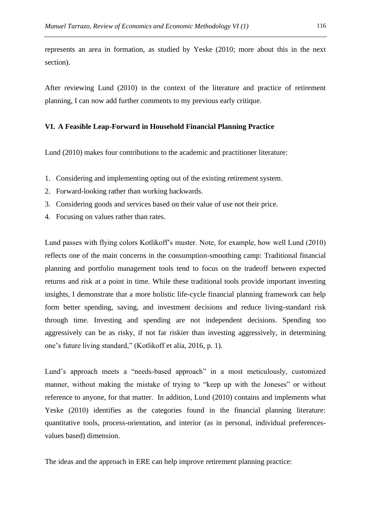represents an area in formation, as studied by Yeske (2010; more about this in the next section).

After reviewing Lund (2010) in the context of the literature and practice of retirement planning, I can now add further comments to my previous early critique.

## **VI. A Feasible Leap-Forward in Household Financial Planning Practice**

Lund (2010) makes four contributions to the academic and practitioner literature:

- 1. Considering and implementing opting out of the existing retirement system.
- 2. Forward-looking rather than working backwards.
- 3. Considering goods and services based on their value of use not their price.
- 4. Focusing on values rather than rates.

Lund passes with flying colors Kotlikoff's muster. Note, for example, how well Lund (2010) reflects one of the main concerns in the consumption-smoothing camp: Traditional financial planning and portfolio management tools tend to focus on the tradeoff between expected returns and risk at a point in time. While these traditional tools provide important investing insights, I demonstrate that a more holistic life-cycle financial planning framework can help form better spending, saving, and investment decisions and reduce living-standard risk through time. Investing and spending are not independent decisions. Spending too aggressively can be as risky, if not far riskier than investing aggressively, in determining one's future living standard," (Kotlikoff et alia, 2016, p. 1).

Lund's approach meets a "needs-based approach" in a most meticulously, customized manner, without making the mistake of trying to "keep up with the Joneses" or without reference to anyone, for that matter. In addition, Lund (2010) contains and implements what Yeske (2010) identifies as the categories found in the financial planning literature: quantitative tools, process-orientation, and interior (as in personal, individual preferencesvalues based) dimension.

The ideas and the approach in ERE can help improve retirement planning practice: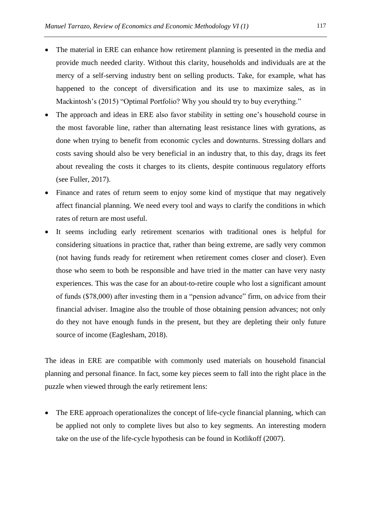- The material in ERE can enhance how retirement planning is presented in the media and provide much needed clarity. Without this clarity, households and individuals are at the mercy of a self-serving industry bent on selling products. Take, for example, what has happened to the concept of diversification and its use to maximize sales, as in Mackintosh's (2015) "Optimal Portfolio? Why you should try to buy everything."
- The approach and ideas in ERE also favor stability in setting one's household course in the most favorable line, rather than alternating least resistance lines with gyrations, as done when trying to benefit from economic cycles and downturns. Stressing dollars and costs saving should also be very beneficial in an industry that, to this day, drags its feet about revealing the costs it charges to its clients, despite continuous regulatory efforts (see Fuller, 2017).
- Finance and rates of return seem to enjoy some kind of mystique that may negatively affect financial planning. We need every tool and ways to clarify the conditions in which rates of return are most useful.
- It seems including early retirement scenarios with traditional ones is helpful for considering situations in practice that, rather than being extreme, are sadly very common (not having funds ready for retirement when retirement comes closer and closer). Even those who seem to both be responsible and have tried in the matter can have very nasty experiences. This was the case for an about-to-retire couple who lost a significant amount of funds (\$78,000) after investing them in a "pension advance" firm, on advice from their financial adviser. Imagine also the trouble of those obtaining pension advances; not only do they not have enough funds in the present, but they are depleting their only future source of income (Eaglesham, 2018).

The ideas in ERE are compatible with commonly used materials on household financial planning and personal finance. In fact, some key pieces seem to fall into the right place in the puzzle when viewed through the early retirement lens:

• The ERE approach operationalizes the concept of life-cycle financial planning, which can be applied not only to complete lives but also to key segments. An interesting modern take on the use of the life-cycle hypothesis can be found in Kotlikoff (2007).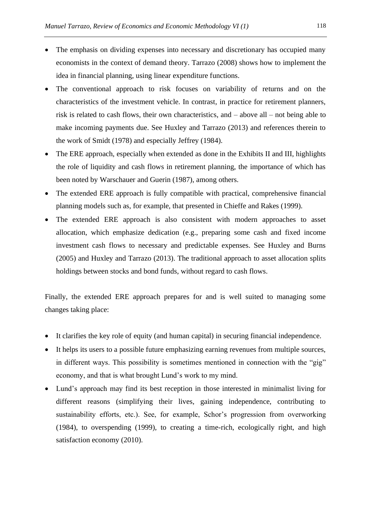- The emphasis on dividing expenses into necessary and discretionary has occupied many economists in the context of demand theory. Tarrazo (2008) shows how to implement the idea in financial planning, using linear expenditure functions.
- The conventional approach to risk focuses on variability of returns and on the characteristics of the investment vehicle. In contrast, in practice for retirement planners, risk is related to cash flows, their own characteristics, and – above all – not being able to make incoming payments due. See Huxley and Tarrazo (2013) and references therein to the work of Smidt (1978) and especially Jeffrey (1984).
- The ERE approach, especially when extended as done in the Exhibits II and III, highlights the role of liquidity and cash flows in retirement planning, the importance of which has been noted by Warschauer and Guerin (1987), among others.
- The extended ERE approach is fully compatible with practical, comprehensive financial planning models such as, for example, that presented in Chieffe and Rakes (1999).
- The extended ERE approach is also consistent with modern approaches to asset allocation, which emphasize dedication (e.g., preparing some cash and fixed income investment cash flows to necessary and predictable expenses. See Huxley and Burns (2005) and Huxley and Tarrazo (2013). The traditional approach to asset allocation splits holdings between stocks and bond funds, without regard to cash flows.

Finally, the extended ERE approach prepares for and is well suited to managing some changes taking place:

- It clarifies the key role of equity (and human capital) in securing financial independence.
- It helps its users to a possible future emphasizing earning revenues from multiple sources, in different ways. This possibility is sometimes mentioned in connection with the "gig" economy, and that is what brought Lund's work to my mind.
- Lund's approach may find its best reception in those interested in minimalist living for different reasons (simplifying their lives, gaining independence, contributing to sustainability efforts, etc.). See, for example, Schor's progression from overworking (1984), to overspending (1999), to creating a time-rich, ecologically right, and high satisfaction economy (2010).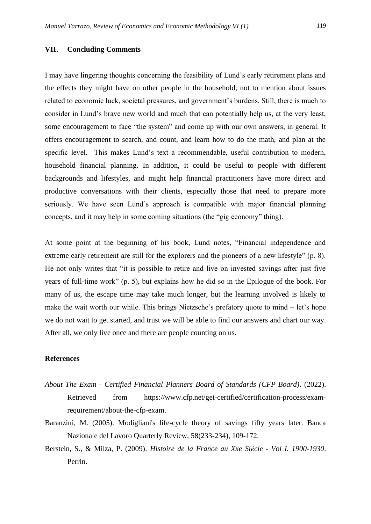#### **VII. Concluding Comments**

I may have lingering thoughts concerning the feasibility of Lund's early retirement plans and the effects they might have on other people in the household, not to mention about issues related to economic luck, societal pressures, and government's burdens. Still, there is much to consider in Lund's brave new world and much that can potentially help us, at the very least, some encouragement to face "the system" and come up with our own answers, in general. It offers encouragement to search, and count, and learn how to do the math, and plan at the specific level. This makes Lund's text a recommendable, useful contribution to modern, household financial planning. In addition, it could be useful to people with different backgrounds and lifestyles, and might help financial practitioners have more direct and productive conversations with their clients, especially those that need to prepare more seriously. We have seen Lund's approach is compatible with major financial planning concepts, and it may help in some coming situations (the "gig economy" thing).

At some point at the beginning of his book, Lund notes, "Financial independence and extreme early retirement are still for the explorers and the pioneers of a new lifestyle" (p. 8). He not only writes that "it is possible to retire and live on invested savings after just five years of full-time work" (p. 5), but explains how he did so in the Epilogue of the book. For many of us, the escape time may take much longer, but the learning involved is likely to make the wait worth our while. This brings Nietzsche's prefatory quote to mind – let's hope we do not wait to get started, and trust we will be able to find our answers and chart our way. After all, we only live once and there are people counting on us.

## **References**

- *About The Exam - Certified Financial Planners Board of Standards (CFP Board)*. (2022). Retrieved from https://www.cfp.net/get-certified/certification-process/examrequirement/about-the-cfp-exam.
- Baranzini, M. (2005). Modigliani's life-cycle theory of savings fifty years later. Banca Nazionale del Lavoro Quarterly Review, 58(233-234), 109-172.
- Berstein, S., & Milza, P. (2009). *Histoire de la France au Xxe Siècle - Vol I. 1900-1930*. Perrin.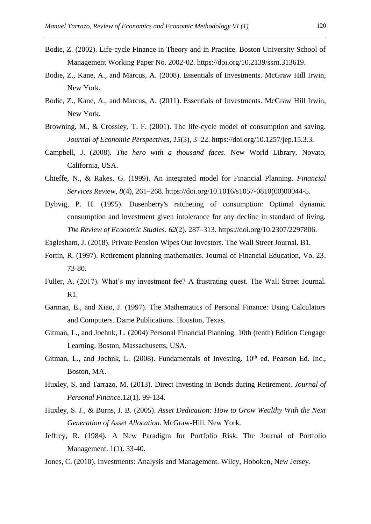- Bodie, Z. (2002). Life-cycle Finance in Theory and in Practice. Boston University School of Management Working Paper No. 2002-02. https://doi.org/10.2139/ssrn.313619.
- Bodie, Z., Kane, A., and Marcus, A. (2008). Essentials of Investments. McGraw Hill Irwin, New York.
- Bodie, Z., Kane, A., and Marcus, A. (2011). Essentials of Investments. McGraw Hill Irwin, New York.
- Browning, M., & Crossley, T. F. (2001). The life-cycle model of consumption and saving. *Journal of Economic Perspectives*, *15*(3), 3–22. https://doi.org/10.1257/jep.15.3.3.
- Campbell, J. (2008). *The hero with a thousand faces*. New World Library. Novato, California, USA.
- Chieffe, N., & Rakes, G. (1999). An integrated model for Financial Planning. *Financial Services Review*, *8*(4), 261–268. https://doi.org/10.1016/s1057-0810(00)00044-5.
- Dybvig, P. H. (1995). Dusenberry's ratcheting of consumption: Optimal dynamic consumption and investment given intolerance for any decline in standard of living. *The Review of Economic Studies*. *62*(2). 287–313. https://doi.org/10.2307/2297806.
- Eaglesham, J. (2018). Private Pension Wipes Out Investors. The Wall Street Journal. B1.
- Fortin, R. (1997). Retirement planning mathematics. Journal of Financial Education, Vo. 23. 73-80.
- Fuller, A. (2017). What's my investment fee? A frustrating quest. The Wall Street Journal. R1.
- Garman, E., and Xiao, J. (1997). The Mathematics of Personal Finance: Using Calculators and Computers. Dame Publications. Houston, Texas.
- Gitman, L., and Joehnk, L. (2004) Personal Financial Planning. 10th (tenth) Edition Cengage Learning. Boston, Massachusetts, USA.
- Gitman, L., and Joehnk, L.  $(2008)$ . Fundamentals of Investing.  $10<sup>th</sup>$  ed. Pearson Ed. Inc., Boston, MA.
- Huxley, S, and Tarrazo, M. (2013). Direct Investing in Bonds during Retirement. *Journal of Personal Finance.*12(1). 99-134.
- Huxley, S. J., & Burns, J. B. (2005). *Asset Dedication: How to Grow Wealthy With the Next Generation of Asset Allocation*. McGraw-Hill. New York.
- Jeffrey, R. (1984). A New Paradigm for Portfolio Risk. The Journal of Portfolio Management. 1(1). 33-40.
- Jones, C. (2010). Investments: Analysis and Management. Wiley, Hoboken, New Jersey.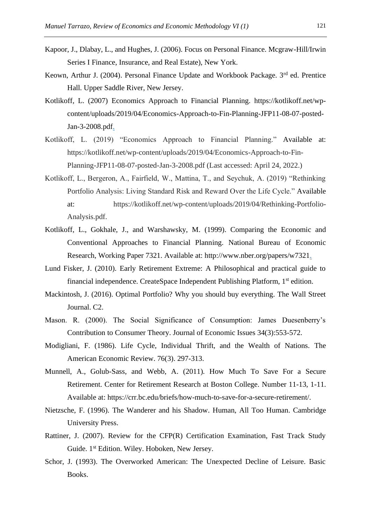- Kapoor, J., Dlabay, L., and Hughes, J. (2006). Focus on Personal Finance. Mcgraw-Hill/Irwin Series I Finance, Insurance, and Real Estate), New York.
- Keown, Arthur J. (2004). Personal Finance Update and Workbook Package. 3<sup>rd</sup> ed. Prentice Hall. Upper Saddle River, New Jersey.
- Kotlikoff, L. (2007) Economics Approach to Financial Planning. https://kotlikoff.net/wpcontent/uploads/2019/04/Economics-Approach-to-Fin-Planning-JFP11-08-07-posted-Jan-3-2008.pdf.
- Kotlikoff, L. (2019) "Economics Approach to Financial Planning." Available at: https://kotlikoff.net/wp-content/uploads/2019/04/Economics-Approach-to-Fin-Planning-JFP11-08-07-posted-Jan-3-2008.pdf (Last accessed: April 24, 2022.)
- Kotlikoff, L., Bergeron, A., Fairfield, W., Mattina, T., and Seychuk, A. (2019) "Rethinking Portfolio Analysis: Living Standard Risk and Reward Over the Life Cycle." Available at: https://kotlikoff.net/wp-content/uploads/2019/04/Rethinking-Portfolio-Analysis.pdf.
- Kotlikoff, L., Gokhale, J., and Warshawsky, M. (1999). Comparing the Economic and Conventional Approaches to Financial Planning. National Bureau of Economic Research, Working Paper 7321. Available at: http://www.nber.org/papers/w7321.
- Lund Fisker, J. (2010). Early Retirement Extreme: A Philosophical and practical guide to financial independence. CreateSpace Independent Publishing Platform, 1st edition.
- Mackintosh, J. (2016). Optimal Portfolio? Why you should buy everything. The Wall Street Journal. C2.
- Mason. R. (2000). The Social Significance of Consumption: James Duesenberry's Contribution to Consumer Theory. Journal of Economic Issues 34(3):553-572.
- Modigliani, F. (1986). Life Cycle, Individual Thrift, and the Wealth of Nations. The American Economic Review. 76(3). 297-313.
- Munnell, A., Golub-Sass, and Webb, A. (2011). How Much To Save For a Secure Retirement. Center for Retirement Research at Boston College. Number 11-13, 1-11. Available at: https://crr.bc.edu/briefs/how-much-to-save-for-a-secure-retirement/.
- Nietzsche, F. (1996). The Wanderer and his Shadow. Human, All Too Human. Cambridge University Press.
- Rattiner, J. (2007). Review for the CFP(R) Certification Examination, Fast Track Study Guide. 1st Edition. Wiley. Hoboken, New Jersey.
- Schor, J. (1993). The Overworked American: The Unexpected Decline of Leisure. Basic Books.